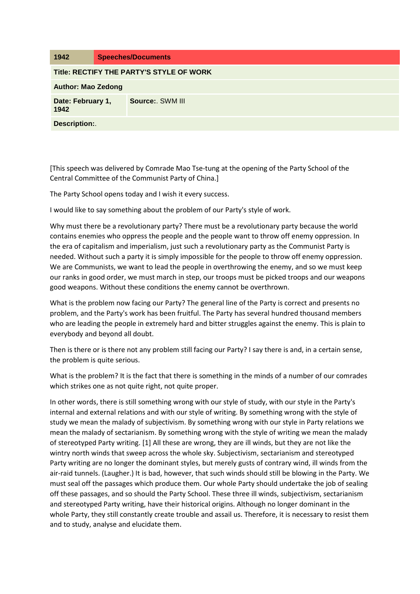| 1942                                     | <b>Speeches/Documents</b> |
|------------------------------------------|---------------------------|
| Title: RECTIFY THE PARTY'S STYLE OF WORK |                           |
| <b>Author: Mao Zedong</b>                |                           |
| Date: February 1,<br>1942                | Source: SWM III           |
| <b>Description:.</b>                     |                           |

[This speech was delivered by Comrade Mao Tse-tung at the opening of the Party School of the Central Committee of the Communist Party of China.]

The Party School opens today and I wish it every success.

I would like to say something about the problem of our Party's style of work.

Why must there be a revolutionary party? There must be a revolutionary party because the world contains enemies who oppress the people and the people want to throw off enemy oppression. In the era of capitalism and imperialism, just such a revolutionary party as the Communist Party is needed. Without such a party it is simply impossible for the people to throw off enemy oppression. We are Communists, we want to lead the people in overthrowing the enemy, and so we must keep our ranks in good order, we must march in step, our troops must be picked troops and our weapons good weapons. Without these conditions the enemy cannot be overthrown.

What is the problem now facing our Party? The general line of the Party is correct and presents no problem, and the Party's work has been fruitful. The Party has several hundred thousand members who are leading the people in extremely hard and bitter struggles against the enemy. This is plain to everybody and beyond all doubt.

Then is there or is there not any problem still facing our Party? I say there is and, in a certain sense, the problem is quite serious.

What is the problem? It is the fact that there is something in the minds of a number of our comrades which strikes one as not quite right, not quite proper.

In other words, there is still something wrong with our style of study, with our style in the Party's internal and external relations and with our style of writing. By something wrong with the style of study we mean the malady of subjectivism. By something wrong with our style in Party relations we mean the malady of sectarianism. By something wrong with the style of writing we mean the malady of stereotyped Party writing. [1] All these are wrong, they are ill winds, but they are not like the wintry north winds that sweep across the whole sky. Subjectivism, sectarianism and stereotyped Party writing are no longer the dominant styles, but merely gusts of contrary wind, ill winds from the air-raid tunnels. (Laugher.) It is bad, however, that such winds should still be blowing in the Party. We must seal off the passages which produce them. Our whole Party should undertake the job of sealing off these passages, and so should the Party School. These three ill winds, subjectivism, sectarianism and stereotyped Party writing, have their historical origins. Although no longer dominant in the whole Party, they still constantly create trouble and assail us. Therefore, it is necessary to resist them and to study, analyse and elucidate them.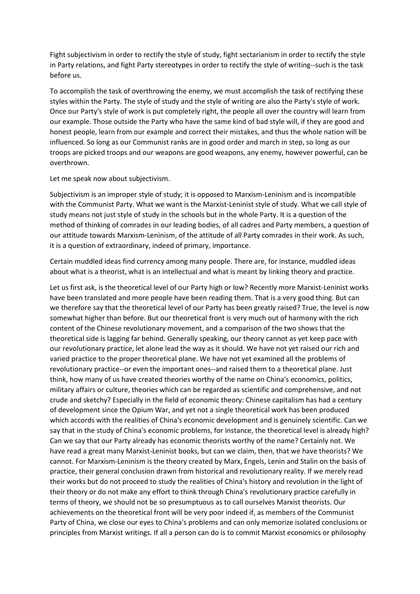Fight subjectivism in order to rectify the style of study, fight sectarianism in order to rectify the style in Party relations, and fight Party stereotypes in order to rectify the style of writing--such is the task before us.

To accomplish the task of overthrowing the enemy, we must accomplish the task of rectifying these styles within the Party. The style of study and the style of writing are also the Party's style of work. Once our Party's style of work is put completely right, the people all over the country will learn from our example. Those outside the Party who have the same kind of bad style will, if they are good and honest people, learn from our example and correct their mistakes, and thus the whole nation will be influenced. So long as our Communist ranks are in good order and march in step, so long as our troops are picked troops and our weapons are good weapons, any enemy, however powerful, can be overthrown.

Let me speak now about subjectivism.

Subjectivism is an improper style of study; it is opposed to Marxism-Leninism and is incompatible with the Communist Party. What we want is the Marxist-Leninist style of study. What we call style of study means not just style of study in the schools but in the whole Party. It is a question of the method of thinking of comrades in our leading bodies, of all cadres and Party members, a question of our attitude towards Marxism-Leninism, of the attitude of all Party comrades in their work. As such, it is a question of extraordinary, indeed of primary, importance.

Certain muddled ideas find currency among many people. There are, for instance, muddled ideas about what is a theorist, what is an intellectual and what is meant by linking theory and practice.

Let us first ask, is the theoretical level of our Party high or low? Recently more Marxist-Leninist works have been translated and more people have been reading them. That is a very good thing. But can we therefore say that the theoretical level of our Party has been greatly raised? True, the level is now somewhat higher than before. But our theoretical front is very much out of harmony with the rich content of the Chinese revolutionary movement, and a comparison of the two shows that the theoretical side is lagging far behind. Generally speaking, our theory cannot as yet keep pace with our revolutionary practice, let alone lead the way as it should. We have not yet raised our rich and varied practice to the proper theoretical plane. We have not yet examined all the problems of revolutionary practice--or even the important ones--and raised them to a theoretical plane. Just think, how many of us have created theories worthy of the name on China's economics, politics, military affairs or culture, theories which can be regarded as scientific and comprehensive, and not crude and sketchy? Especially in the field of economic theory: Chinese capitalism has had a century of development since the Opium War, and yet not a single theoretical work has been produced which accords with the realities of China's economic development and is genuinely scientific. Can we say that in the study of China's economic problems, for instance, the theoretical level is already high? Can we say that our Party already has economic theorists worthy of the name? Certainly not. We have read a great many Marxist-Leninist books, but can we claim, then, that we have theorists? We cannot. For Marxism-Leninism is the theory created by Marx, Engels, Lenin and Stalin on the basis of practice, their general conclusion drawn from historical and revolutionary reality. If we merely read their works but do not proceed to study the realities of China's history and revolution in the light of their theory or do not make any effort to think through China's revolutionary practice carefully in terms of theory, we should not be so presumptuous as to call ourselves Marxist theorists. Our achievements on the theoretical front will be very poor indeed if, as members of the Communist Party of China, we close our eyes to China's problems and can only memorize isolated conclusions or principles from Marxist writings. If all a person can do is to commit Marxist economics or philosophy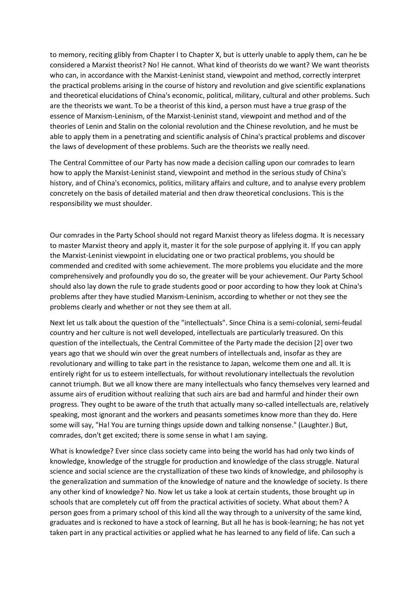to memory, reciting glibly from Chapter I to Chapter X, but is utterly unable to apply them, can he be considered a Marxist theorist? No! He cannot. What kind of theorists do we want? We want theorists who can, in accordance with the Marxist-Leninist stand, viewpoint and method, correctly interpret the practical problems arising in the course of history and revolution and give scientific explanations and theoretical elucidations of China's economic, political, military, cultural and other problems. Such are the theorists we want. To be a theorist of this kind, a person must have a true grasp of the essence of Marxism-Leninism, of the Marxist-Leninist stand, viewpoint and method and of the theories of Lenin and Stalin on the colonial revolution and the Chinese revolution, and he must be able to apply them in a penetrating and scientific analysis of China's practical problems and discover the laws of development of these problems. Such are the theorists we really need.

The Central Committee of our Party has now made a decision calling upon our comrades to learn how to apply the Marxist-Leninist stand, viewpoint and method in the serious study of China's history, and of China's economics, politics, military affairs and culture, and to analyse every problem concretely on the basis of detailed material and then draw theoretical conclusions. This is the responsibility we must shoulder.

Our comrades in the Party School should not regard Marxist theory as lifeless dogma. It is necessary to master Marxist theory and apply it, master it for the sole purpose of applying it. If you can apply the Marxist-Leninist viewpoint in elucidating one or two practical problems, you should be commended and credited with some achievement. The more problems you elucidate and the more comprehensively and profoundly you do so, the greater will be your achievement. Our Party School should also lay down the rule to grade students good or poor according to how they look at China's problems after they have studied Marxism-Leninism, according to whether or not they see the problems clearly and whether or not they see them at all.

Next let us talk about the question of the "intellectuals". Since China is a semi-colonial, semi-feudal country and her culture is not well developed, intellectuals are particularly treasured. On this question of the intellectuals, the Central Committee of the Party made the decision [2] over two years ago that we should win over the great numbers of intellectuals and, insofar as they are revolutionary and willing to take part in the resistance to Japan, welcome them one and all. It is entirely right for us to esteem intellectuals, for without revolutionary intellectuals the revolution cannot triumph. But we all know there are many intellectuals who fancy themselves very learned and assume airs of erudition without realizing that such airs are bad and harmful and hinder their own progress. They ought to be aware of the truth that actually many so-called intellectuals are, relatively speaking, most ignorant and the workers and peasants sometimes know more than they do. Here some will say, "Ha! You are turning things upside down and talking nonsense." (Laughter.) But, comrades, don't get excited; there is some sense in what I am saying.

What is knowledge? Ever since class society came into being the world has had only two kinds of knowledge, knowledge of the struggle for production and knowledge of the class struggle. Natural science and social science are the crystallization of these two kinds of knowledge, and philosophy is the generalization and summation of the knowledge of nature and the knowledge of society. Is there any other kind of knowledge? No. Now let us take a look at certain students, those brought up in schools that are completely cut off from the practical activities of society. What about them? A person goes from a primary school of this kind all the way through to a university of the same kind, graduates and is reckoned to have a stock of learning. But all he has is book-learning; he has not yet taken part in any practical activities or applied what he has learned to any field of life. Can such a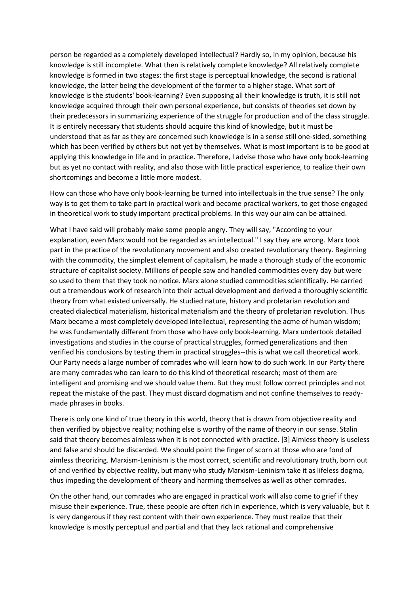person be regarded as a completely developed intellectual? Hardly so, in my opinion, because his knowledge is still incomplete. What then is relatively complete knowledge? All relatively complete knowledge is formed in two stages: the first stage is perceptual knowledge, the second is rational knowledge, the latter being the development of the former to a higher stage. What sort of knowledge is the students' book-learning? Even supposing all their knowledge is truth, it is still not knowledge acquired through their own personal experience, but consists of theories set down by their predecessors in summarizing experience of the struggle for production and of the class struggle. It is entirely necessary that students should acquire this kind of knowledge, but it must be understood that as far as they are concerned such knowledge is in a sense still one-sided, something which has been verified by others but not yet by themselves. What is most important is to be good at applying this knowledge in life and in practice. Therefore, I advise those who have only book-learning but as yet no contact with reality, and also those with little practical experience, to realize their own shortcomings and become a little more modest.

How can those who have only book-learning be turned into intellectuals in the true sense? The only way is to get them to take part in practical work and become practical workers, to get those engaged in theoretical work to study important practical problems. In this way our aim can be attained.

What I have said will probably make some people angry. They will say, "According to your explanation, even Marx would not be regarded as an intellectual." I say they are wrong. Marx took part in the practice of the revolutionary movement and also created revolutionary theory. Beginning with the commodity, the simplest element of capitalism, he made a thorough study of the economic structure of capitalist society. Millions of people saw and handled commodities every day but were so used to them that they took no notice. Marx alone studied commodities scientifically. He carried out a tremendous work of research into their actual development and derived a thoroughly scientific theory from what existed universally. He studied nature, history and proletarian revolution and created dialectical materialism, historical materialism and the theory of proletarian revolution. Thus Marx became a most completely developed intellectual, representing the acme of human wisdom; he was fundamentally different from those who have only book-learning. Marx undertook detailed investigations and studies in the course of practical struggles, formed generalizations and then verified his conclusions by testing them in practical struggles--this is what we call theoretical work. Our Party needs a large number of comrades who will learn how to do such work. In our Party there are many comrades who can learn to do this kind of theoretical research; most of them are intelligent and promising and we should value them. But they must follow correct principles and not repeat the mistake of the past. They must discard dogmatism and not confine themselves to readymade phrases in books.

There is only one kind of true theory in this world, theory that is drawn from objective reality and then verified by objective reality; nothing else is worthy of the name of theory in our sense. Stalin said that theory becomes aimless when it is not connected with practice. [3] Aimless theory is useless and false and should be discarded. We should point the finger of scorn at those who are fond of aimless theorizing. Marxism-Leninism is the most correct, scientific and revolutionary truth, born out of and verified by objective reality, but many who study Marxism-Leninism take it as lifeless dogma, thus impeding the development of theory and harming themselves as well as other comrades.

On the other hand, our comrades who are engaged in practical work will also come to grief if they misuse their experience. True, these people are often rich in experience, which is very valuable, but it is very dangerous if they rest content with their own experience. They must realize that their knowledge is mostly perceptual and partial and that they lack rational and comprehensive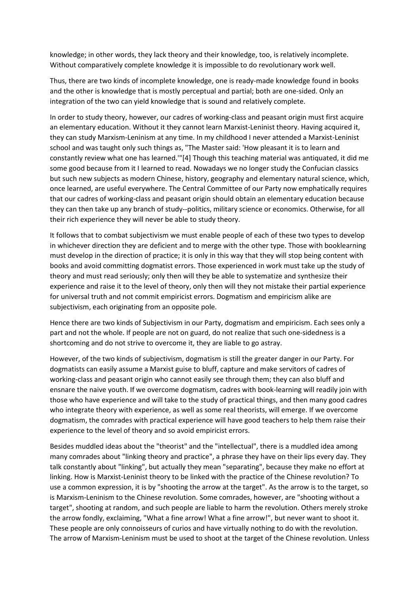knowledge; in other words, they lack theory and their knowledge, too, is relatively incomplete. Without comparatively complete knowledge it is impossible to do revolutionary work well.

Thus, there are two kinds of incomplete knowledge, one is ready-made knowledge found in books and the other is knowledge that is mostly perceptual and partial; both are one-sided. Only an integration of the two can yield knowledge that is sound and relatively complete.

In order to study theory, however, our cadres of working-class and peasant origin must first acquire an elementary education. Without it they cannot learn Marxist-Leninist theory. Having acquired it, they can study Marxism-Leninism at any time. In my childhood I never attended a Marxist-Leninist school and was taught only such things as, "The Master said: 'How pleasant it is to learn and constantly review what one has learned.'"[4] Though this teaching material was antiquated, it did me some good because from it I learned to read. Nowadays we no longer study the Confucian classics but such new subjects as modern Chinese, history, geography and elementary natural science, which, once learned, are useful everywhere. The Central Committee of our Party now emphatically requires that our cadres of working-class and peasant origin should obtain an elementary education because they can then take up any branch of study--politics, military science or economics. Otherwise, for all their rich experience they will never be able to study theory.

It follows that to combat subjectivism we must enable people of each of these two types to develop in whichever direction they are deficient and to merge with the other type. Those with booklearning must develop in the direction of practice; it is only in this way that they will stop being content with books and avoid committing dogmatist errors. Those experienced in work must take up the study of theory and must read seriously; only then will they be able to systematize and synthesize their experience and raise it to the level of theory, only then will they not mistake their partial experience for universal truth and not commit empiricist errors. Dogmatism and empiricism alike are subjectivism, each originating from an opposite pole.

Hence there are two kinds of Subjectivism in our Party, dogmatism and empiricism. Each sees only a part and not the whole. If people are not on guard, do not realize that such one-sidedness is a shortcoming and do not strive to overcome it, they are liable to go astray.

However, of the two kinds of subjectivism, dogmatism is still the greater danger in our Party. For dogmatists can easily assume a Marxist guise to bluff, capture and make servitors of cadres of working-class and peasant origin who cannot easily see through them; they can also bluff and ensnare the naive youth. If we overcome dogmatism, cadres with book-learning will readily join with those who have experience and will take to the study of practical things, and then many good cadres who integrate theory with experience, as well as some real theorists, will emerge. If we overcome dogmatism, the comrades with practical experience will have good teachers to help them raise their experience to the level of theory and so avoid empiricist errors.

Besides muddled ideas about the "theorist" and the "intellectual", there is a muddled idea among many comrades about "linking theory and practice", a phrase they have on their lips every day. They talk constantly about "linking", but actually they mean "separating", because they make no effort at linking. How is Marxist-Leninist theory to be linked with the practice of the Chinese revolution? To use a common expression, it is by "shooting the arrow at the target". As the arrow is to the target, so is Marxism-Leninism to the Chinese revolution. Some comrades, however, are "shooting without a target", shooting at random, and such people are liable to harm the revolution. Others merely stroke the arrow fondly, exclaiming, "What a fine arrow! What a fine arrow!", but never want to shoot it. These people are only connoisseurs of curios and have virtually nothing to do with the revolution. The arrow of Marxism-Leninism must be used to shoot at the target of the Chinese revolution. Unless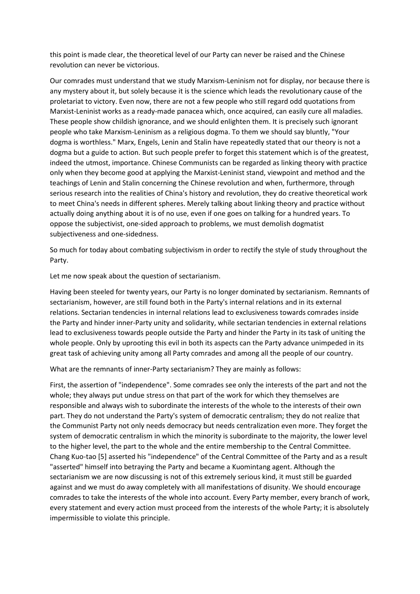this point is made clear, the theoretical level of our Party can never be raised and the Chinese revolution can never be victorious.

Our comrades must understand that we study Marxism-Leninism not for display, nor because there is any mystery about it, but solely because it is the science which leads the revolutionary cause of the proletariat to victory. Even now, there are not a few people who still regard odd quotations from Marxist-Leninist works as a ready-made panacea which, once acquired, can easily cure all maladies. These people show childish ignorance, and we should enlighten them. It is precisely such ignorant people who take Marxism-Leninism as a religious dogma. To them we should say bluntly, "Your dogma is worthless." Marx, Engels, Lenin and Stalin have repeatedly stated that our theory is not a dogma but a guide to action. But such people prefer to forget this statement which is of the greatest, indeed the utmost, importance. Chinese Communists can be regarded as linking theory with practice only when they become good at applying the Marxist-Leninist stand, viewpoint and method and the teachings of Lenin and Stalin concerning the Chinese revolution and when, furthermore, through serious research into the realities of China's history and revolution, they do creative theoretical work to meet China's needs in different spheres. Merely talking about linking theory and practice without actually doing anything about it is of no use, even if one goes on talking for a hundred years. To oppose the subjectivist, one-sided approach to problems, we must demolish dogmatist subjectiveness and one-sidedness.

So much for today about combating subjectivism in order to rectify the style of study throughout the Party.

Let me now speak about the question of sectarianism.

Having been steeled for twenty years, our Party is no longer dominated by sectarianism. Remnants of sectarianism, however, are still found both in the Party's internal relations and in its external relations. Sectarian tendencies in internal relations lead to exclusiveness towards comrades inside the Party and hinder inner-Party unity and solidarity, while sectarian tendencies in external relations lead to exclusiveness towards people outside the Party and hinder the Party in its task of uniting the whole people. Only by uprooting this evil in both its aspects can the Party advance unimpeded in its great task of achieving unity among all Party comrades and among all the people of our country.

What are the remnants of inner-Party sectarianism? They are mainly as follows:

First, the assertion of "independence". Some comrades see only the interests of the part and not the whole; they always put undue stress on that part of the work for which they themselves are responsible and always wish to subordinate the interests of the whole to the interests of their own part. They do not understand the Party's system of democratic centralism; they do not realize that the Communist Party not only needs democracy but needs centralization even more. They forget the system of democratic centralism in which the minority is subordinate to the majority, the lower level to the higher level, the part to the whole and the entire membership to the Central Committee. Chang Kuo-tao [5] asserted his "independence" of the Central Committee of the Party and as a result "asserted" himself into betraying the Party and became a Kuomintang agent. Although the sectarianism we are now discussing is not of this extremely serious kind, it must still be guarded against and we must do away completely with all manifestations of disunity. We should encourage comrades to take the interests of the whole into account. Every Party member, every branch of work, every statement and every action must proceed from the interests of the whole Party; it is absolutely impermissible to violate this principle.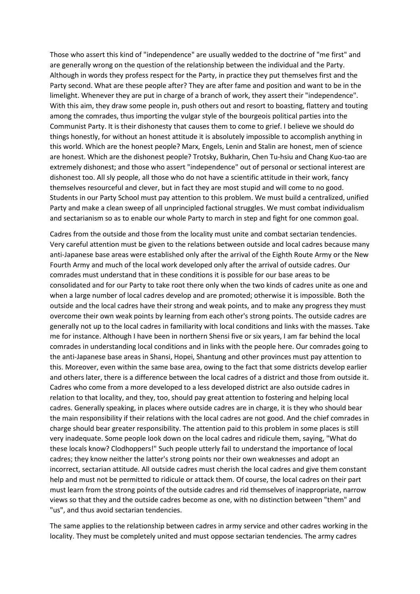Those who assert this kind of "independence" are usually wedded to the doctrine of "me first" and are generally wrong on the question of the relationship between the individual and the Party. Although in words they profess respect for the Party, in practice they put themselves first and the Party second. What are these people after? They are after fame and position and want to be in the limelight. Whenever they are put in charge of a branch of work, they assert their "independence". With this aim, they draw some people in, push others out and resort to boasting, flattery and touting among the comrades, thus importing the vulgar style of the bourgeois political parties into the Communist Party. It is their dishonesty that causes them to come to grief. I believe we should do things honestly, for without an honest attitude it is absolutely impossible to accomplish anything in this world. Which are the honest people? Marx, Engels, Lenin and Stalin are honest, men of science are honest. Which are the dishonest people? Trotsky, Bukharin, Chen Tu-hsiu and Chang Kuo-tao are extremely dishonest; and those who assert "independence" out of personal or sectional interest are dishonest too. All sly people, all those who do not have a scientific attitude in their work, fancy themselves resourceful and clever, but in fact they are most stupid and will come to no good. Students in our Party School must pay attention to this problem. We must build a centralized, unified Party and make a clean sweep of all unprincipled factional struggles. We must combat individualism and sectarianism so as to enable our whole Party to march in step and fight for one common goal.

Cadres from the outside and those from the locality must unite and combat sectarian tendencies. Very careful attention must be given to the relations between outside and local cadres because many anti-Japanese base areas were established only after the arrival of the Eighth Route Army or the New Fourth Army and much of the local work developed only after the arrival of outside cadres. Our comrades must understand that in these conditions it is possible for our base areas to be consolidated and for our Party to take root there only when the two kinds of cadres unite as one and when a large number of local cadres develop and are promoted; otherwise it is impossible. Both the outside and the local cadres have their strong and weak points, and to make any progress they must overcome their own weak points by learning from each other's strong points. The outside cadres are generally not up to the local cadres in familiarity with local conditions and links with the masses. Take me for instance. Although I have been in northern Shensi five or six years, I am far behind the local comrades in understanding local conditions and in links with the people here. Our comrades going to the anti-Japanese base areas in Shansi, Hopei, Shantung and other provinces must pay attention to this. Moreover, even within the same base area, owing to the fact that some districts develop earlier and others later, there is a difference between the local cadres of a district and those from outside it. Cadres who come from a more developed to a less developed district are also outside cadres in relation to that locality, and they, too, should pay great attention to fostering and helping local cadres. Generally speaking, in places where outside cadres are in charge, it is they who should bear the main responsibility if their relations with the local cadres are not good. And the chief comrades in charge should bear greater responsibility. The attention paid to this problem in some places is still very inadequate. Some people look down on the local cadres and ridicule them, saying, "What do these locals know? Clodhoppers!" Such people utterly fail to understand the importance of local cadres; they know neither the latter's strong points nor their own weaknesses and adopt an incorrect, sectarian attitude. All outside cadres must cherish the local cadres and give them constant help and must not be permitted to ridicule or attack them. Of course, the local cadres on their part must learn from the strong points of the outside cadres and rid themselves of inappropriate, narrow views so that they and the outside cadres become as one, with no distinction between "them" and "us", and thus avoid sectarian tendencies.

The same applies to the relationship between cadres in army service and other cadres working in the locality. They must be completely united and must oppose sectarian tendencies. The army cadres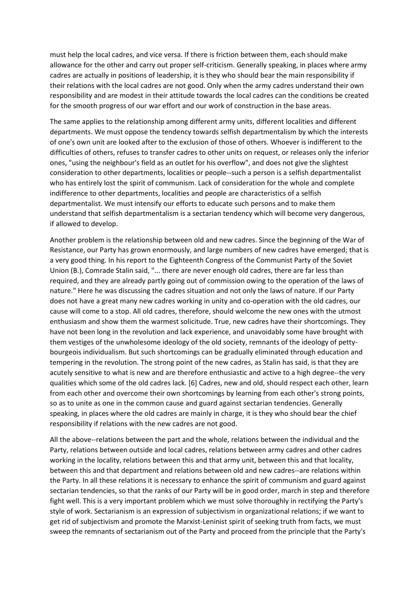must help the local cadres, and vice versa. If there is friction between them, each should make allowance for the other and carry out proper self-criticism. Generally speaking, in places where army cadres are actually in positions of leadership, it is they who should bear the main responsibility if their relations with the local cadres are not good. Only when the army cadres understand their own responsibility and are modest in their attitude towards the local cadres can the conditions be created for the smooth progress of our war effort and our work of construction in the base areas.

The same applies to the relationship among different army units, different localities and different departments. We must oppose the tendency towards selfish departmentalism by which the interests of one's own unit are looked after to the exclusion of those of others. Whoever is indifferent to the difficulties of others, refuses to transfer cadres to other units on request, or releases only the inferior ones, "using the neighbour's field as an outlet for his overflow", and does not give the slightest consideration to other departments, localities or people--such a person is a selfish departmentalist who has entirely lost the spirit of communism. Lack of consideration for the whole and complete indifference to other departments, localities and people are characteristics of a selfish departmentalist. We must intensify our efforts to educate such persons and to make them understand that selfish departmentalism is a sectarian tendency which will become very dangerous, if allowed to develop.

Another problem is the relationship between old and new cadres. Since the beginning of the War of Resistance, our Party has grown enormously, and large numbers of new cadres have emerged; that is a very good thing. In his report to the Eighteenth Congress of the Communist Party of the Soviet Union (B.), Comrade Stalin said, "... there are never enough old cadres, there are far less than required, and they are already partly going out of commission owing to the operation of the laws of nature." Here he was discussing the cadres situation and not only the laws of nature. If our Party does not have a great many new cadres working in unity and co-operation with the old cadres, our cause will come to a stop. All old cadres, therefore, should welcome the new ones with the utmost enthusiasm and show them the warmest solicitude. True, new cadres have their shortcomings. They have not been long in the revolution and lack experience, and unavoidably some have brought with them vestiges of the unwholesome ideology of the old society, remnants of the ideology of pettybourgeois individualism. But such shortcomings can be gradually eliminated through education and tempering in the revolution. The strong point of the new cadres, as Stalin has said, is that they are acutely sensitive to what is new and are therefore enthusiastic and active to a high degree--the very qualities which some of the old cadres lack. [6] Cadres, new and old, should respect each other, learn from each other and overcome their own shortcomings by learning from each other's strong points, so as to unite as one in the common cause and guard against sectarian tendencies. Generally speaking, in places where the old cadres are mainly in charge, it is they who should bear the chief responsibility if relations with the new cadres are not good.

All the above--relations between the part and the whole, relations between the individual and the Party, relations between outside and local cadres, relations between army cadres and other cadres working in the locality, relations between this and that army unit, between this and that locality, between this and that department and relations between old and new cadres--are relations within the Party. In all these relations it is necessary to enhance the spirit of communism and guard against sectarian tendencies, so that the ranks of our Party will be in good order, march in step and therefore fight well. This is a very important problem which we must solve thoroughly in rectifying the Party's style of work. Sectarianism is an expression of subjectivism in organizational relations; if we want to get rid of subjectivism and promote the Marxist-Leninist spirit of seeking truth from facts, we must sweep the remnants of sectarianism out of the Party and proceed from the principle that the Party's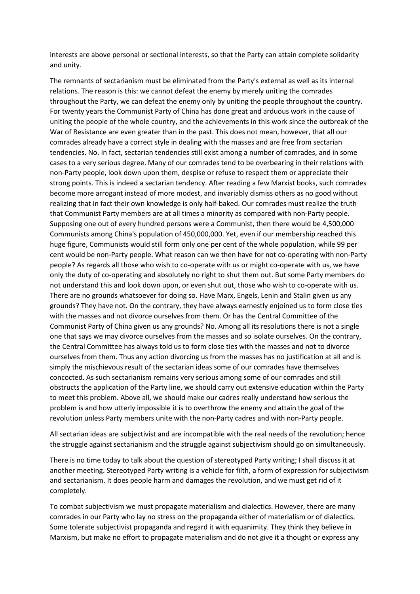interests are above personal or sectional interests, so that the Party can attain complete solidarity and unity.

The remnants of sectarianism must be eliminated from the Party's external as well as its internal relations. The reason is this: we cannot defeat the enemy by merely uniting the comrades throughout the Party, we can defeat the enemy only by uniting the people throughout the country. For twenty years the Communist Party of China has done great and arduous work in the cause of uniting the people of the whole country, and the achievements in this work since the outbreak of the War of Resistance are even greater than in the past. This does not mean, however, that all our comrades already have a correct style in dealing with the masses and are free from sectarian tendencies. No. In fact, sectarian tendencies still exist among a number of comrades, and in some cases to a very serious degree. Many of our comrades tend to be overbearing in their relations with non-Party people, look down upon them, despise or refuse to respect them or appreciate their strong points. This is indeed a sectarian tendency. After reading a few Marxist books, such comrades become more arrogant instead of more modest, and invariably dismiss others as no good without realizing that in fact their own knowledge is only half-baked. Our comrades must realize the truth that Communist Party members are at all times a minority as compared with non-Party people. Supposing one out of every hundred persons were a Communist, then there would be 4,500,000 Communists among China's population of 450,000,000. Yet, even if our membership reached this huge figure, Communists would still form only one per cent of the whole population, while 99 per cent would be non-Party people. What reason can we then have for not co-operating with non-Party people? As regards all those who wish to co-operate with us or might co-operate with us, we have only the duty of co-operating and absolutely no right to shut them out. But some Party members do not understand this and look down upon, or even shut out, those who wish to co-operate with us. There are no grounds whatsoever for doing so. Have Marx, Engels, Lenin and Stalin given us any grounds? They have not. On the contrary, they have always earnestly enjoined us to form close ties with the masses and not divorce ourselves from them. Or has the Central Committee of the Communist Party of China given us any grounds? No. Among all its resolutions there is not a single one that says we may divorce ourselves from the masses and so isolate ourselves. On the contrary, the Central Committee has always told us to form close ties with the masses and not to divorce ourselves from them. Thus any action divorcing us from the masses has no justification at all and is simply the mischievous result of the sectarian ideas some of our comrades have themselves concocted. As such sectarianism remains very serious among some of our comrades and still obstructs the application of the Party line, we should carry out extensive education within the Party to meet this problem. Above all, we should make our cadres really understand how serious the problem is and how utterly impossible it is to overthrow the enemy and attain the goal of the revolution unless Party members unite with the non-Party cadres and with non-Party people.

All sectarian ideas are subjectivist and are incompatible with the real needs of the revolution; hence the struggle against sectarianism and the struggle against subjectivism should go on simultaneously.

There is no time today to talk about the question of stereotyped Party writing; I shall discuss it at another meeting. Stereotyped Party writing is a vehicle for filth, a form of expression for subjectivism and sectarianism. It does people harm and damages the revolution, and we must get rid of it completely.

To combat subjectivism we must propagate materialism and dialectics. However, there are many comrades in our Party who lay no stress on the propaganda either of materialism or of dialectics. Some tolerate subjectivist propaganda and regard it with equanimity. They think they believe in Marxism, but make no effort to propagate materialism and do not give it a thought or express any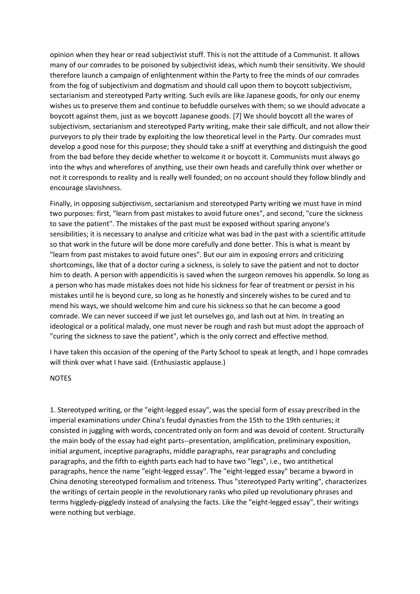opinion when they hear or read subjectivist stuff. This is not the attitude of a Communist. It allows many of our comrades to be poisoned by subjectivist ideas, which numb their sensitivity. We should therefore launch a campaign of enlightenment within the Party to free the minds of our comrades from the fog of subjectivism and dogmatism and should call upon them to boycott subjectivism, sectarianism and stereotyped Party writing. Such evils are like Japanese goods, for only our enemy wishes us to preserve them and continue to befuddle ourselves with them; so we should advocate a boycott against them, just as we boycott Japanese goods. [7] We should boycott all the wares of subjectivism, sectarianism and stereotyped Party writing, make their sale difficult, and not allow their purveyors to ply their trade by exploiting the low theoretical level in the Party. Our comrades must develop a good nose for this purpose; they should take a sniff at everything and distinguish the good from the bad before they decide whether to welcome it or boycott it. Communists must always go into the whys and wherefores of anything, use their own heads and carefully think over whether or not it corresponds to reality and is really well founded; on no account should they follow blindly and encourage slavishness.

Finally, in opposing subjectivism, sectarianism and stereotyped Party writing we must have in mind two purposes: first, "learn from past mistakes to avoid future ones", and second, "cure the sickness to save the patient". The mistakes of the past must be exposed without sparing anyone's sensibilities; it is necessary to analyse and criticize what was bad in the past with a scientific attitude so that work in the future will be done more carefully and done better. This is what is meant by "learn from past mistakes to avoid future ones". But our aim in exposing errors and criticizing shortcomings, like that of a doctor curing a sickness, is solely to save the patient and not to doctor him to death. A person with appendicitis is saved when the surgeon removes his appendix. So long as a person who has made mistakes does not hide his sickness for fear of treatment or persist in his mistakes until he is beyond cure, so long as he honestly and sincerely wishes to be cured and to mend his ways, we should welcome him and cure his sickness so that he can become a good comrade. We can never succeed if we just let ourselves go, and lash out at him. In treating an ideological or a political malady, one must never be rough and rash but must adopt the approach of "curing the sickness to save the patient", which is the only correct and effective method.

I have taken this occasion of the opening of the Party School to speak at length, and I hope comrades will think over what I have said. (Enthusiastic applause.)

## NOTES

1. Stereotyped writing, or the "eight-legged essay", was the special form of essay prescribed in the imperial examinations under China's feudal dynasties from the 15th to the 19th centuries; it consisted in juggling with words, concentrated only on form and was devoid of content. Structurally the main body of the essay had eight parts--presentation, amplification, preliminary exposition, initial argument, inceptive paragraphs, middle paragraphs, rear paragraphs and concluding paragraphs, and the fifth to eighth parts each had to have two "legs", i.e., two antithetical paragraphs, hence the name "eight-legged essay". The "eight-legged essay" became a byword in China denoting stereotyped formalism and triteness. Thus "stereotyped Party writing", characterizes the writings of certain people in the revolutionary ranks who piled up revolutionary phrases and terms higgledy-piggledy instead of analysing the facts. Like the "eight-legged essay", their writings were nothing but verbiage.